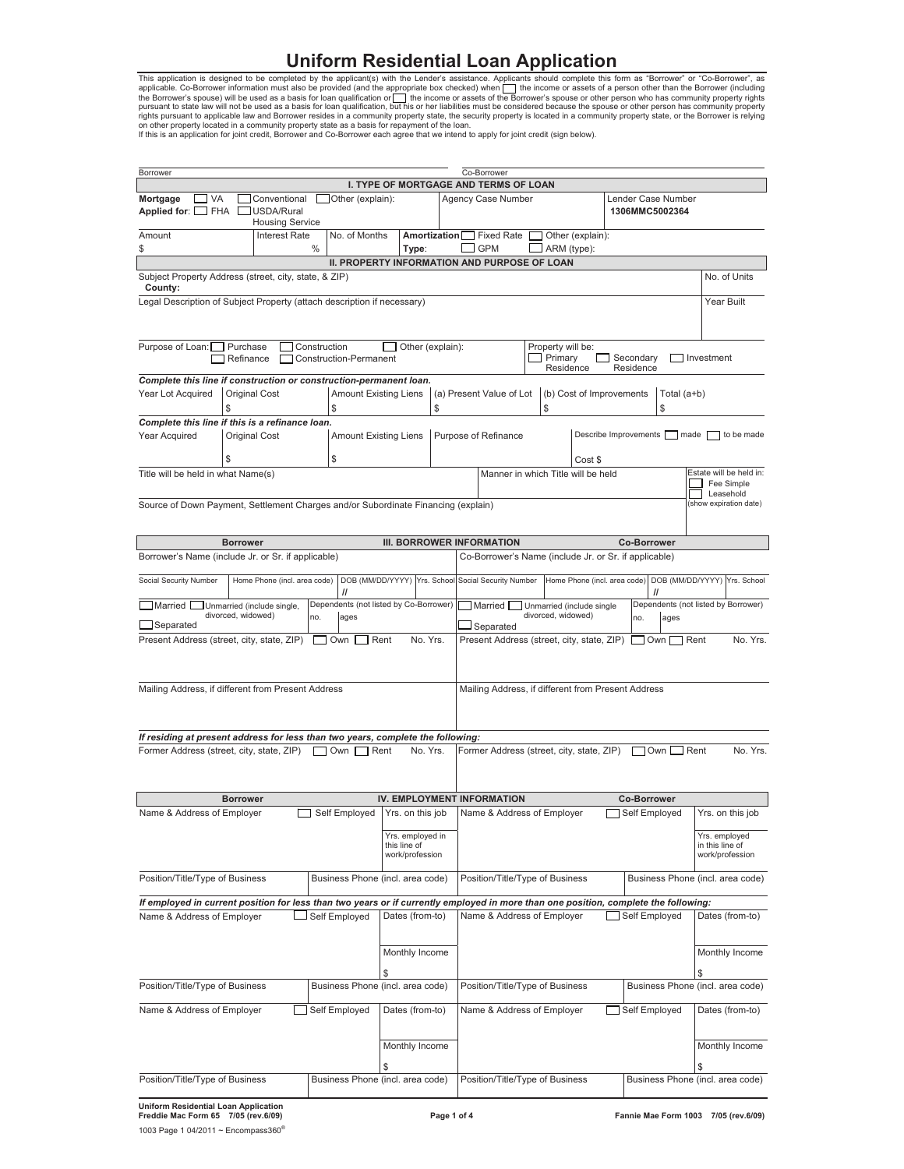## **Uniform Residential Loan Application**

This application is designed to be completed by the applicant(s) with the Lender's assistance. Applicants should complete this form as "Borrower" or "Co-Borrower", as<br>applicable. Co-Borrower information must also be provi If this is an application for joint credit, Borrower and Co-Borrower each agree that we intend to apply for joint credit (sign below).

 $\overline{\phantom{a}}$ 

Borrower Co-Borrower

| I. TYPE OF MORTGAGE AND TERMS OF LOAN                                                                                                                                                                             |                                                                                                                                                                                                                      |              |                                                |                                                     |                |                                                       |                                      |                           |                                                    |      |                                                     |
|-------------------------------------------------------------------------------------------------------------------------------------------------------------------------------------------------------------------|----------------------------------------------------------------------------------------------------------------------------------------------------------------------------------------------------------------------|--------------|------------------------------------------------|-----------------------------------------------------|----------------|-------------------------------------------------------|--------------------------------------|---------------------------|----------------------------------------------------|------|-----------------------------------------------------|
| Conventional<br>Other (explain):<br>Mortgage<br>VA<br><b>Agency Case Number</b><br>Applied for: FHA<br>USDA/Rural                                                                                                 |                                                                                                                                                                                                                      |              |                                                |                                                     |                |                                                       | Lender Case Number<br>1306MMC5002364 |                           |                                                    |      |                                                     |
| Amount                                                                                                                                                                                                            | <b>Housing Service</b><br><b>Interest Rate</b>                                                                                                                                                                       |              | No. of Months                                  |                                                     | Amortization [ | <b>Fixed Rate</b>                                     |                                      | Other (explain):          |                                                    |      |                                                     |
| \$                                                                                                                                                                                                                |                                                                                                                                                                                                                      | $\%$         |                                                | Type:                                               |                | <b>GPM</b>                                            |                                      | ARM (type):               |                                                    |      |                                                     |
| II. PROPERTY INFORMATION AND PURPOSE OF LOAN                                                                                                                                                                      |                                                                                                                                                                                                                      |              |                                                |                                                     |                |                                                       |                                      |                           |                                                    |      |                                                     |
| Subject Property Address (street, city, state, & ZIP)<br>County:                                                                                                                                                  |                                                                                                                                                                                                                      |              |                                                |                                                     |                |                                                       |                                      |                           |                                                    |      | No. of Units                                        |
| Legal Description of Subject Property (attach description if necessary)                                                                                                                                           |                                                                                                                                                                                                                      |              |                                                |                                                     |                |                                                       |                                      |                           |                                                    |      | Year Built                                          |
|                                                                                                                                                                                                                   |                                                                                                                                                                                                                      |              |                                                |                                                     |                |                                                       |                                      |                           |                                                    |      |                                                     |
| Purpose of Loan:<br>Purchase<br>Construction<br>Other (explain):<br>Property will be:<br>Primary<br>Secondary<br>$\Box$ Investment<br>Refinance<br>Construction-Permanent<br>Residence<br>Residence               |                                                                                                                                                                                                                      |              |                                                |                                                     |                |                                                       |                                      |                           |                                                    |      |                                                     |
| Complete this line if construction or construction-permanent loan.<br>Year Lot Acquired<br>Original Cost<br><b>Amount Existing Liens</b><br>(a) Present Value of Lot<br>(b) Cost of Improvements<br>Total $(a+b)$ |                                                                                                                                                                                                                      |              |                                                |                                                     |                |                                                       |                                      |                           |                                                    |      |                                                     |
|                                                                                                                                                                                                                   |                                                                                                                                                                                                                      | \$           |                                                |                                                     | \$             |                                                       | \$                                   |                           | \$                                                 |      |                                                     |
| Complete this line if this is a refinance loan.<br>Year Acquired                                                                                                                                                  | Original Cost                                                                                                                                                                                                        |              | <b>Amount Existing Liens</b>                   |                                                     |                | Purpose of Refinance                                  |                                      |                           | Describe Improvements made to be made              |      |                                                     |
|                                                                                                                                                                                                                   |                                                                                                                                                                                                                      | \$           |                                                |                                                     |                |                                                       |                                      | Cost \$                   |                                                    |      |                                                     |
| Title will be held in what Name(s)                                                                                                                                                                                |                                                                                                                                                                                                                      |              |                                                |                                                     |                | Manner in which Title will be held                    |                                      |                           |                                                    |      | Estate will be held in:                             |
|                                                                                                                                                                                                                   |                                                                                                                                                                                                                      |              |                                                |                                                     |                |                                                       |                                      |                           |                                                    |      | Fee Simple<br>Leasehold                             |
| Source of Down Payment, Settlement Charges and/or Subordinate Financing (explain)                                                                                                                                 |                                                                                                                                                                                                                      |              |                                                |                                                     |                |                                                       |                                      |                           |                                                    |      | (show expiration date)                              |
|                                                                                                                                                                                                                   |                                                                                                                                                                                                                      |              |                                                |                                                     |                |                                                       |                                      |                           |                                                    |      |                                                     |
|                                                                                                                                                                                                                   | <b>Borrower</b>                                                                                                                                                                                                      |              |                                                |                                                     |                | III. BORROWER INFORMATION                             |                                      |                           | <b>Co-Borrower</b>                                 |      |                                                     |
| Borrower's Name (include Jr. or Sr. if applicable)                                                                                                                                                                |                                                                                                                                                                                                                      |              |                                                |                                                     |                | Co-Borrower's Name (include Jr. or Sr. if applicable) |                                      |                           |                                                    |      |                                                     |
|                                                                                                                                                                                                                   | DOB (MM/DD/YYYY) Yrs. School Social Security Number Home Phone (incl. area code)<br>DOB (MM/DD/YYYY) Yrs. School<br>Social Security Number<br>Home Phone (incl. area code)<br>$^{\prime\prime}$<br>$^{\prime\prime}$ |              |                                                |                                                     |                |                                                       |                                      |                           |                                                    |      |                                                     |
| Married                                                                                                                                                                                                           | Unmarried (include single,<br>divorced, widowed)                                                                                                                                                                     | no.          | Dependents (not listed by Co-Borrower)<br>ages |                                                     |                | Married [                                             | divorced, widowed)                   | Unmarried (include single | Dependents (not listed by Borrower)<br>no.<br>ages |      |                                                     |
| Separated                                                                                                                                                                                                         |                                                                                                                                                                                                                      |              |                                                |                                                     |                | $\sf J$ Separated                                     |                                      |                           |                                                    |      |                                                     |
| Present Address (street, city, state, ZIP)<br>Present Address (street, city, state, ZIP) □ Own □ Rent<br>□ Rent<br>No. Yrs.<br>No. Yrs.<br>Own                                                                    |                                                                                                                                                                                                                      |              |                                                |                                                     |                |                                                       |                                      |                           |                                                    |      |                                                     |
| Mailing Address, if different from Present Address                                                                                                                                                                |                                                                                                                                                                                                                      |              |                                                |                                                     |                | Mailing Address, if different from Present Address    |                                      |                           |                                                    |      |                                                     |
| If residing at present address for less than two years, complete the following:                                                                                                                                   |                                                                                                                                                                                                                      |              |                                                |                                                     |                |                                                       |                                      |                           |                                                    |      |                                                     |
| Former Address (street, city, state, ZIP)                                                                                                                                                                         |                                                                                                                                                                                                                      | $\mathbf{1}$ | Own [<br>ヿ Rent                                |                                                     | No. Yrs.       | Former Address (street, city, state, ZIP)             |                                      |                           | Own                                                | Rent | No. Yrs.                                            |
|                                                                                                                                                                                                                   | <b>Borrower</b>                                                                                                                                                                                                      |              |                                                |                                                     |                | IV. EMPLOYMENT INFORMATION                            |                                      |                           | <b>Co-Borrower</b>                                 |      |                                                     |
| Name & Address of Employer                                                                                                                                                                                        |                                                                                                                                                                                                                      |              | Self Employed                                  | Yrs. on this job                                    |                | Name & Address of Employer                            |                                      |                           | Self Employed                                      |      | Yrs. on this job                                    |
|                                                                                                                                                                                                                   |                                                                                                                                                                                                                      |              |                                                | Yrs, emploved in<br>this line of<br>work/profession |                |                                                       |                                      |                           |                                                    |      | Yrs. employed<br>in this line of<br>work/profession |
| Position/Title/Type of Business                                                                                                                                                                                   |                                                                                                                                                                                                                      |              | Business Phone (incl. area code)               |                                                     |                | Position/Title/Type of Business                       |                                      |                           | Business Phone (incl. area code)                   |      |                                                     |
| If employed in current position for less than two years or if currently employed in more than one position, complete the following:                                                                               |                                                                                                                                                                                                                      |              |                                                |                                                     |                |                                                       |                                      |                           |                                                    |      |                                                     |
| Name & Address of Employer                                                                                                                                                                                        |                                                                                                                                                                                                                      |              | Self Employed                                  | Dates (from-to)                                     |                | Name & Address of Employer                            |                                      |                           | Self Employed                                      |      | Dates (from-to)                                     |
|                                                                                                                                                                                                                   |                                                                                                                                                                                                                      |              |                                                | Monthly Income<br>\$                                |                |                                                       |                                      |                           |                                                    |      | Monthly Income                                      |
| Position/Title/Type of Business                                                                                                                                                                                   |                                                                                                                                                                                                                      |              | Business Phone (incl. area code)               |                                                     |                | Position/Title/Type of Business                       |                                      |                           | Business Phone (incl. area code)                   |      |                                                     |
| Name & Address of Employer                                                                                                                                                                                        |                                                                                                                                                                                                                      |              | Self Employed                                  | Dates (from-to)                                     |                | Name & Address of Employer                            |                                      |                           | Self Employed                                      |      | Dates (from-to)                                     |
|                                                                                                                                                                                                                   |                                                                                                                                                                                                                      |              |                                                | Monthly Income                                      |                |                                                       |                                      |                           |                                                    |      | Monthly Income                                      |
| Position/Title/Type of Business                                                                                                                                                                                   |                                                                                                                                                                                                                      |              | Business Phone (incl. area code)               |                                                     |                | Position/Title/Type of Business                       |                                      |                           | Business Phone (incl. area code)                   |      |                                                     |
| <b>Uniform Pecidential Loan Annication</b>                                                                                                                                                                        |                                                                                                                                                                                                                      |              |                                                |                                                     |                |                                                       |                                      |                           |                                                    |      |                                                     |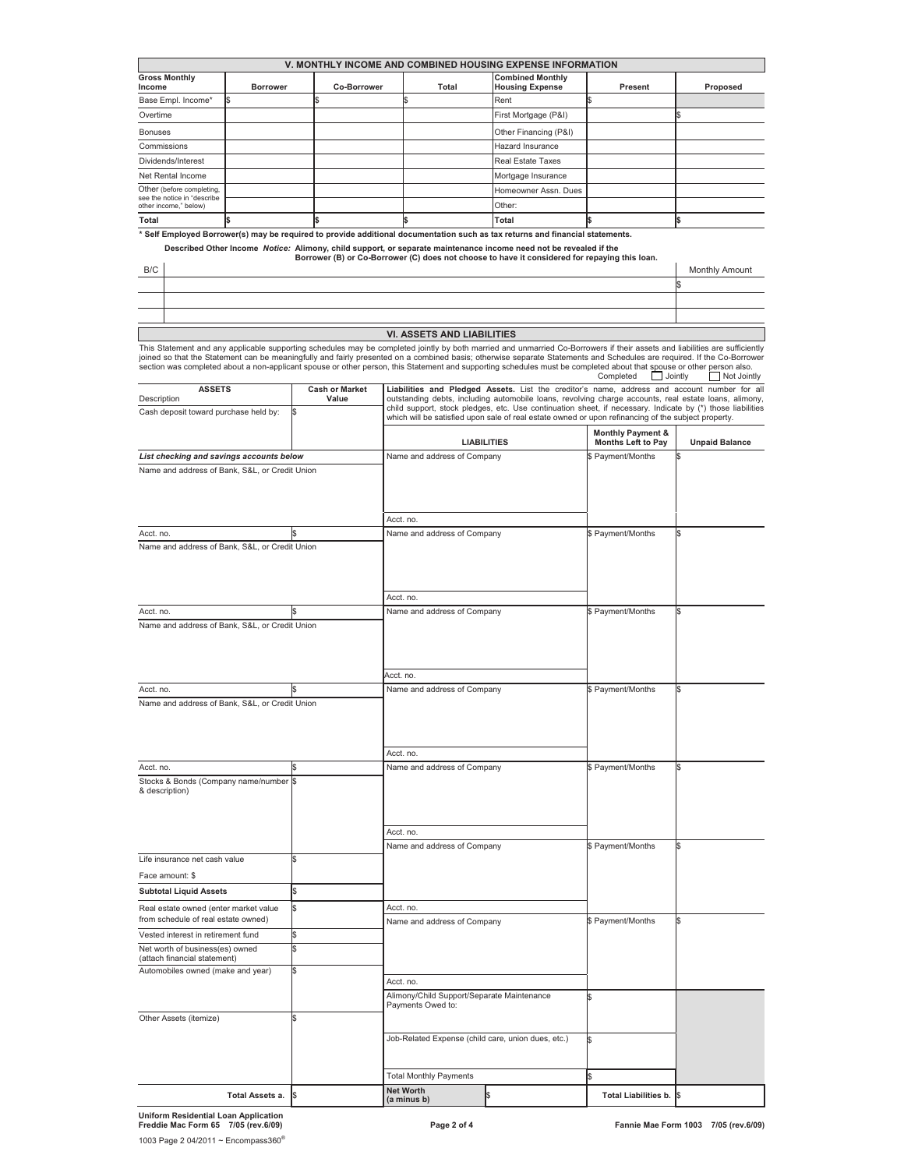| V. MONTHLY INCOME AND COMBINED HOUSING EXPENSE INFORMATION                                                                    |                 |                    |       |                                                   |         |          |  |  |
|-------------------------------------------------------------------------------------------------------------------------------|-----------------|--------------------|-------|---------------------------------------------------|---------|----------|--|--|
| <b>Gross Monthly</b><br>Income                                                                                                | <b>Borrower</b> | <b>Co-Borrower</b> | Total | <b>Combined Monthly</b><br><b>Housing Expense</b> | Present | Proposed |  |  |
| Base Empl. Income*                                                                                                            |                 |                    |       | Rent                                              |         |          |  |  |
| Overtime                                                                                                                      |                 |                    |       | First Mortgage (P&I)                              |         |          |  |  |
| <b>Bonuses</b>                                                                                                                |                 |                    |       | Other Financing (P&I)                             |         |          |  |  |
| Commissions                                                                                                                   |                 |                    |       | <b>Hazard Insurance</b>                           |         |          |  |  |
| Dividends/Interest                                                                                                            |                 |                    |       | Real Estate Taxes                                 |         |          |  |  |
| Net Rental Income                                                                                                             |                 |                    |       | Mortgage Insurance                                |         |          |  |  |
| Other (before completing,<br>see the notice in "describe                                                                      |                 |                    |       | Homeowner Assn, Dues                              |         |          |  |  |
| other income," below)                                                                                                         |                 |                    |       | Other:                                            |         |          |  |  |
| Total                                                                                                                         |                 |                    |       | <b>Total</b>                                      |         |          |  |  |
| * Solf Employed Persouar(s) may be required to provide additional decumentation such as tax returns and financial statements. |                 |                    |       |                                                   |         |          |  |  |

**Ioyed Borrower(s) may be required to provide a** 

Described Other Income No*tice:* Alimony, child support, or separate maintenance income need not be revealed if the<br>.Borrower (B) or Co-Borrower (C) does not choose to have it considered for repaying this loan

| B/C | <b>Monthly Amount</b> |
|-----|-----------------------|
|     |                       |
|     |                       |
|     |                       |

## **VI. ASSETS AND LIABILITIES**

This Statement and any applicable supporting schedules may be completed jointly by both married and unmarried Co-Borrowers if their assets and liabilities are sufficiently<br>joined so that the Statement can be meaningfully

| <b>ASSETS</b><br>Description<br>Cash deposit toward purchase held by:        | <b>Cash or Market</b><br>Value | Liabilities and Pledged Assets. List the creditor's name, address and account number for all<br>outstanding debts, including automobile loans, revolving charge accounts, real estate loans, alimony,<br>child support, stock pledges, etc. Use continuation sheet, if necessary. Indicate by (*) those liabilities |                                                    |                       |  |  |
|------------------------------------------------------------------------------|--------------------------------|---------------------------------------------------------------------------------------------------------------------------------------------------------------------------------------------------------------------------------------------------------------------------------------------------------------------|----------------------------------------------------|-----------------------|--|--|
|                                                                              |                                | which will be satisfied upon sale of real estate owned or upon refinancing of the subject property.                                                                                                                                                                                                                 |                                                    |                       |  |  |
|                                                                              |                                | <b>LIABILITIES</b>                                                                                                                                                                                                                                                                                                  | <b>Monthly Payment &amp;</b><br>Months Left to Pay | <b>Unpaid Balance</b> |  |  |
| List checking and savings accounts below                                     |                                | Name and address of Company                                                                                                                                                                                                                                                                                         | \$ Payment/Months                                  |                       |  |  |
| Name and address of Bank, S&L, or Credit Union                               |                                |                                                                                                                                                                                                                                                                                                                     |                                                    |                       |  |  |
|                                                                              |                                | Acct. no.                                                                                                                                                                                                                                                                                                           |                                                    |                       |  |  |
| Acct. no.                                                                    |                                | Name and address of Company                                                                                                                                                                                                                                                                                         | \$ Payment/Months                                  | \$                    |  |  |
| Name and address of Bank, S&L, or Credit Union                               |                                | Acct. no.                                                                                                                                                                                                                                                                                                           |                                                    |                       |  |  |
| Acct. no.                                                                    |                                | Name and address of Company                                                                                                                                                                                                                                                                                         | \$ Payment/Months                                  | l\$                   |  |  |
| Name and address of Bank, S&L, or Credit Union                               |                                |                                                                                                                                                                                                                                                                                                                     |                                                    |                       |  |  |
|                                                                              |                                | Acct. no.                                                                                                                                                                                                                                                                                                           |                                                    |                       |  |  |
| Acct. no.                                                                    |                                | Name and address of Company                                                                                                                                                                                                                                                                                         | \$ Payment/Months                                  | \$                    |  |  |
| Acct. no.                                                                    |                                | Acct. no.<br>Name and address of Company                                                                                                                                                                                                                                                                            | \$ Payment/Months                                  | \$                    |  |  |
| Stocks & Bonds (Company name/number<br>& description)                        | \$                             |                                                                                                                                                                                                                                                                                                                     |                                                    |                       |  |  |
|                                                                              |                                | Acct. no.                                                                                                                                                                                                                                                                                                           |                                                    | \$                    |  |  |
| Life insurance net cash value                                                |                                | Name and address of Company                                                                                                                                                                                                                                                                                         | \$ Payment/Months                                  |                       |  |  |
| Face amount: \$                                                              |                                |                                                                                                                                                                                                                                                                                                                     |                                                    |                       |  |  |
| <b>Subtotal Liquid Assets</b>                                                |                                |                                                                                                                                                                                                                                                                                                                     |                                                    |                       |  |  |
|                                                                              |                                | Acct. no.                                                                                                                                                                                                                                                                                                           |                                                    |                       |  |  |
| Real estate owned (enter market value<br>from schedule of real estate owned) |                                | Name and address of Company                                                                                                                                                                                                                                                                                         | \$ Payment/Months                                  |                       |  |  |
| Vested interest in retirement fund                                           |                                |                                                                                                                                                                                                                                                                                                                     |                                                    |                       |  |  |
| Net worth of business(es) owned<br>(attach financial statement)              |                                |                                                                                                                                                                                                                                                                                                                     |                                                    |                       |  |  |
| Automobiles owned (make and year)                                            |                                | Acct. no.                                                                                                                                                                                                                                                                                                           |                                                    |                       |  |  |
|                                                                              |                                | Alimony/Child Support/Separate Maintenance<br>Payments Owed to:                                                                                                                                                                                                                                                     | \$                                                 |                       |  |  |
| Other Assets (itemize)                                                       |                                |                                                                                                                                                                                                                                                                                                                     |                                                    |                       |  |  |
|                                                                              |                                | Job-Related Expense (child care, union dues, etc.)                                                                                                                                                                                                                                                                  | \$                                                 |                       |  |  |
|                                                                              |                                | <b>Total Monthly Payments</b>                                                                                                                                                                                                                                                                                       |                                                    |                       |  |  |
| Total Assets a.                                                              |                                | <b>Net Worth</b><br>\$<br>(a minus b)                                                                                                                                                                                                                                                                               | <b>Total Liabilities b.</b>                        | I\$                   |  |  |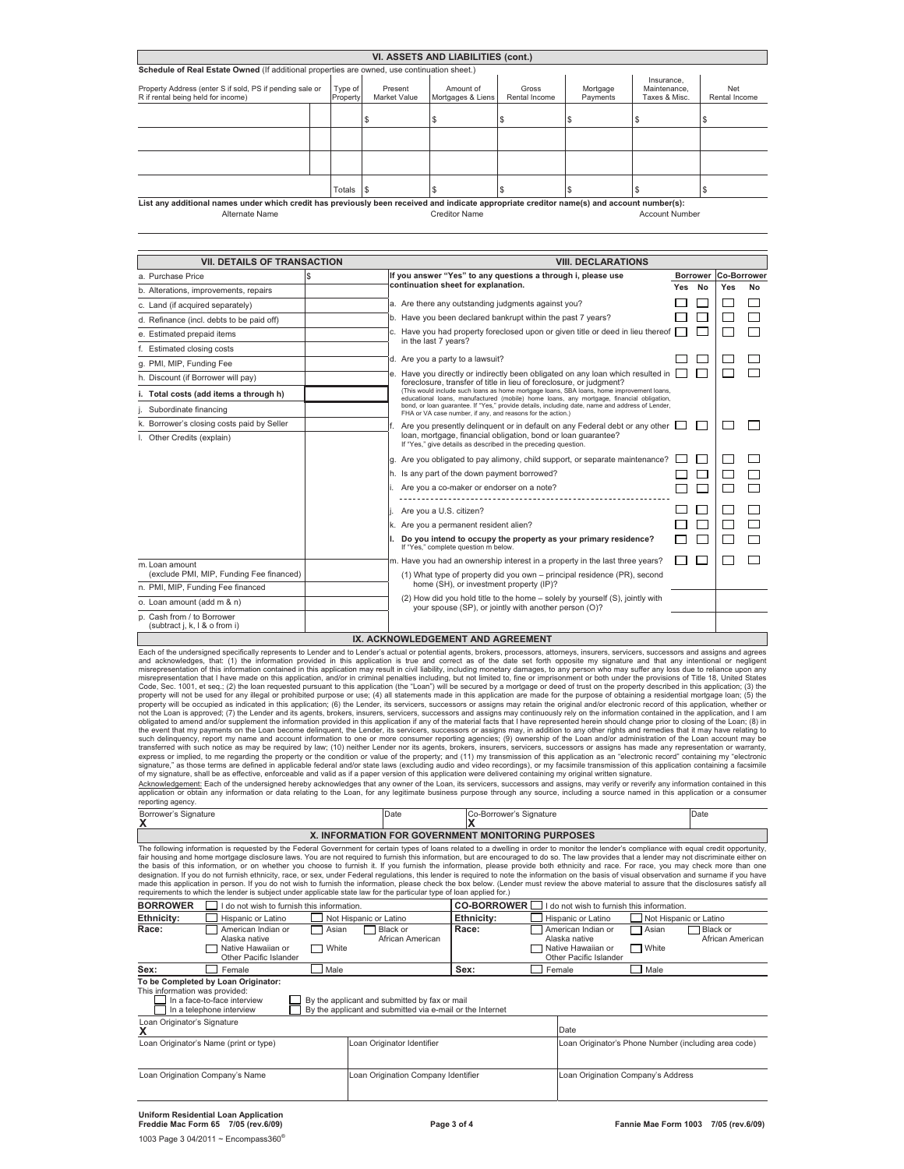| VI. ASSETS AND LIABILITIES (cont.)                                                                                                         |  |                     |                         |                                               |                        |                      |                                             |                      |
|--------------------------------------------------------------------------------------------------------------------------------------------|--|---------------------|-------------------------|-----------------------------------------------|------------------------|----------------------|---------------------------------------------|----------------------|
| Schedule of Real Estate Owned (If additional properties are owned, use continuation sheet.)                                                |  |                     |                         |                                               |                        |                      |                                             |                      |
| Property Address (enter S if sold, PS if pending sale or<br>R if rental being held for income)                                             |  | Type of<br>Property | Present<br>Market Value | Amount of<br>Mortgages & Liens                | Gross<br>Rental Income | Mortgage<br>Payments | Insurance.<br>Maintenance.<br>Taxes & Misc. | Net<br>Rental Income |
|                                                                                                                                            |  |                     |                         |                                               |                        |                      |                                             |                      |
|                                                                                                                                            |  |                     |                         |                                               |                        |                      |                                             |                      |
|                                                                                                                                            |  |                     |                         |                                               |                        |                      |                                             |                      |
|                                                                                                                                            |  | Totals              | l \$                    |                                               |                        |                      |                                             |                      |
| List any additional names under which credit has previously been received and indicate appropriate creditor name(s) and account number(s): |  |                     |                         |                                               |                        |                      |                                             |                      |
| Alternate Name                                                                                                                             |  |                     |                         | <b>Creditor Name</b><br><b>Account Number</b> |                        |                      |                                             |                      |

| <b>VII. DETAILS OF TRANSACTION</b>                          | <b>VIII. DECLARATIONS</b>                                                                                                                                                             |                 |    |     |                    |
|-------------------------------------------------------------|---------------------------------------------------------------------------------------------------------------------------------------------------------------------------------------|-----------------|----|-----|--------------------|
| a. Purchase Price                                           | If you answer "Yes" to any questions a through i, please use                                                                                                                          | <b>Borrower</b> |    |     | <b>Co-Borrower</b> |
| b. Alterations, improvements, repairs                       | continuation sheet for explanation.                                                                                                                                                   | Yes             | No | Yes | No                 |
| c. Land (if acquired separately)                            | a. Are there any outstanding judgments against you?                                                                                                                                   |                 |    |     |                    |
| d. Refinance (incl. debts to be paid off)                   | b. Have you been declared bankrupt within the past 7 years?                                                                                                                           |                 |    |     |                    |
| e. Estimated prepaid items                                  | c. Have you had property foreclosed upon or given title or deed in lieu thereof<br>in the last 7 years?                                                                               |                 |    |     |                    |
| f. Estimated closing costs                                  |                                                                                                                                                                                       |                 |    |     |                    |
| g. PMI, MIP, Funding Fee                                    | d. Are you a party to a lawsuit?                                                                                                                                                      |                 |    |     |                    |
| h. Discount (if Borrower will pay)                          | e. Have you directly or indirectly been obligated on any loan which resulted in<br>foreclosure, transfer of title in lieu of foreclosure, or judgment?                                |                 |    |     |                    |
| i. Total costs (add items a through h)                      | (This would include such loans as home mortgage loans, SBA loans, home improvement loans,<br>educational loans, manufactured (mobile) home loans, any mortgage, financial obligation, |                 |    |     |                    |
| Subordinate financing                                       | bond, or loan quarantee. If "Yes," provide details, including date, name and address of Lender,<br>FHA or VA case number, if any, and reasons for the action.)                        |                 |    |     |                    |
| k. Borrower's closing costs paid by Seller                  | Are you presently delinquent or in default on any Federal debt or any other                                                                                                           |                 |    |     |                    |
| I. Other Credits (explain)                                  | loan, mortgage, financial obligation, bond or loan guarantee?<br>If "Yes," give details as described in the preceding question.                                                       |                 |    |     |                    |
|                                                             | g. Are you obligated to pay alimony, child support, or separate maintenance?                                                                                                          |                 |    |     |                    |
|                                                             | h. Is any part of the down payment borrowed?                                                                                                                                          |                 |    |     |                    |
|                                                             | i. Are you a co-maker or endorser on a note?                                                                                                                                          |                 |    |     |                    |
|                                                             | Are you a U.S. citizen?                                                                                                                                                               |                 |    |     |                    |
|                                                             | k. Are you a permanent resident alien?                                                                                                                                                |                 |    |     |                    |
|                                                             | I. Do you intend to occupy the property as your primary residence?<br>If "Yes," complete question m below.                                                                            |                 |    |     |                    |
| m. Loan amount                                              | m. Have you had an ownership interest in a property in the last three years?                                                                                                          |                 |    |     |                    |
| (exclude PMI, MIP, Funding Fee financed)                    | (1) What type of property did you own - principal residence (PR), second                                                                                                              |                 |    |     |                    |
| n. PMI, MIP, Funding Fee financed                           | home (SH), or investment property (IP)?                                                                                                                                               |                 |    |     |                    |
| o. Loan amount (add m & n)                                  | (2) How did you hold title to the home - solely by yourself (S), jointly with<br>your spouse (SP), or jointly with another person (O)?                                                |                 |    |     |                    |
| p. Cash from / to Borrower<br>(subtract j, k, l & o from i) |                                                                                                                                                                                       |                 |    |     |                    |

**IX. ACKNOWLEDGEMENT AND AGREEMENT**

Each of the undersigned specifically represents to Lender and to Lender and to Lender's actual or potential agents, brokers, processors, attenuously responses, intervention or mediates that in y information of the informat signature," as those terms are defined in applicable federal and/or state laws (excluding audio and video recordings), or my facsimile transmission of this application containing a facsimile<br>of my signature, shall be as ef

<u>Acknowledgement:</u> Each of the undersigned hereby acknowledges that any owner of the Loan, its servicers, successors and assigns, may verify or reverify any information contained in this<br>application or obtain any informati reporting agency.

| Borrower's Signature                                                                                                                                                                                                                                                                                                                                                                                                                                                                                                                                                                                                                                                                                                                                                                                                                                                                                                                                                                                                                                                                                               |                        | Date                                                                                                       | Co-Borrower's Signature                    |                                                                                     |                        | Date                         |  |  |
|--------------------------------------------------------------------------------------------------------------------------------------------------------------------------------------------------------------------------------------------------------------------------------------------------------------------------------------------------------------------------------------------------------------------------------------------------------------------------------------------------------------------------------------------------------------------------------------------------------------------------------------------------------------------------------------------------------------------------------------------------------------------------------------------------------------------------------------------------------------------------------------------------------------------------------------------------------------------------------------------------------------------------------------------------------------------------------------------------------------------|------------------------|------------------------------------------------------------------------------------------------------------|--------------------------------------------|-------------------------------------------------------------------------------------|------------------------|------------------------------|--|--|
|                                                                                                                                                                                                                                                                                                                                                                                                                                                                                                                                                                                                                                                                                                                                                                                                                                                                                                                                                                                                                                                                                                                    |                        |                                                                                                            |                                            |                                                                                     |                        |                              |  |  |
| <b>X. INFORMATION FOR GOVERNMENT MONITORING PURPOSES</b>                                                                                                                                                                                                                                                                                                                                                                                                                                                                                                                                                                                                                                                                                                                                                                                                                                                                                                                                                                                                                                                           |                        |                                                                                                            |                                            |                                                                                     |                        |                              |  |  |
| The following information is requested by the Federal Government for certain types of loans related to a dwelling in order to monitor the lender's compliance with equal credit opportunity,<br>fair housing and home mortgage disclosure laws. You are not required to furnish this information, but are encouraged to do so. The law provides that a lender may not discriminate either on<br>the basis of this information, or on whether you choose to furnish it. If you furnish the information, please provide both ethnicity and race. For race, you may check more than one<br>designation. If you do not furnish ethnicity, race, or sex, under Federal regulations, this lender is required to note the information on the basis of visual observation and surname if you have<br>made this application in person. If you do not wish to furnish the information, please check the box below. (Lender must review the above material to assure that the disclosures satisfy all<br>requirements to which the lender is subject under applicable state law for the particular type of loan applied for.) |                        |                                                                                                            |                                            |                                                                                     |                        |                              |  |  |
| <b>BORROWER</b><br>do not wish to furnish this information.                                                                                                                                                                                                                                                                                                                                                                                                                                                                                                                                                                                                                                                                                                                                                                                                                                                                                                                                                                                                                                                        |                        | <b>CO-BORROWER</b>                                                                                         | I do not wish to furnish this information. |                                                                                     |                        |                              |  |  |
| Ethnicity:<br>Hispanic or Latino                                                                                                                                                                                                                                                                                                                                                                                                                                                                                                                                                                                                                                                                                                                                                                                                                                                                                                                                                                                                                                                                                   | Not Hispanic or Latino |                                                                                                            | Ethnicity:                                 | Hispanic or Latino                                                                  | Not Hispanic or Latino |                              |  |  |
| Race:<br>American Indian or<br>Alaska native<br>Native Hawaiian or<br>Other Pacific Islander                                                                                                                                                                                                                                                                                                                                                                                                                                                                                                                                                                                                                                                                                                                                                                                                                                                                                                                                                                                                                       | Asian<br>White         | Black or<br>African American                                                                               | Race:                                      | American Indian or<br>Alaska native<br>Native Hawaiian or<br>Other Pacific Islander | Asian<br>White         | Black or<br>African American |  |  |
| Sex:<br>Female                                                                                                                                                                                                                                                                                                                                                                                                                                                                                                                                                                                                                                                                                                                                                                                                                                                                                                                                                                                                                                                                                                     | Male                   |                                                                                                            | Sex:                                       | Female                                                                              | Male                   |                              |  |  |
| To be Completed by Loan Originator:<br>This information was provided:<br>In a face-to-face interview<br>In a telephone interview                                                                                                                                                                                                                                                                                                                                                                                                                                                                                                                                                                                                                                                                                                                                                                                                                                                                                                                                                                                   |                        | By the applicant and submitted by fax or mail<br>By the applicant and submitted via e-mail or the Internet |                                            |                                                                                     |                        |                              |  |  |
| Loan Originator's Signature<br>X                                                                                                                                                                                                                                                                                                                                                                                                                                                                                                                                                                                                                                                                                                                                                                                                                                                                                                                                                                                                                                                                                   |                        |                                                                                                            |                                            | Date                                                                                |                        |                              |  |  |
| Loan Originator's Name (print or type)                                                                                                                                                                                                                                                                                                                                                                                                                                                                                                                                                                                                                                                                                                                                                                                                                                                                                                                                                                                                                                                                             |                        | Loan Originator Identifier                                                                                 |                                            | Loan Originator's Phone Number (including area code)                                |                        |                              |  |  |
| Loan Origination Company's Name                                                                                                                                                                                                                                                                                                                                                                                                                                                                                                                                                                                                                                                                                                                                                                                                                                                                                                                                                                                                                                                                                    |                        | Loan Origination Company Identifier                                                                        |                                            | Loan Origination Company's Address                                                  |                        |                              |  |  |